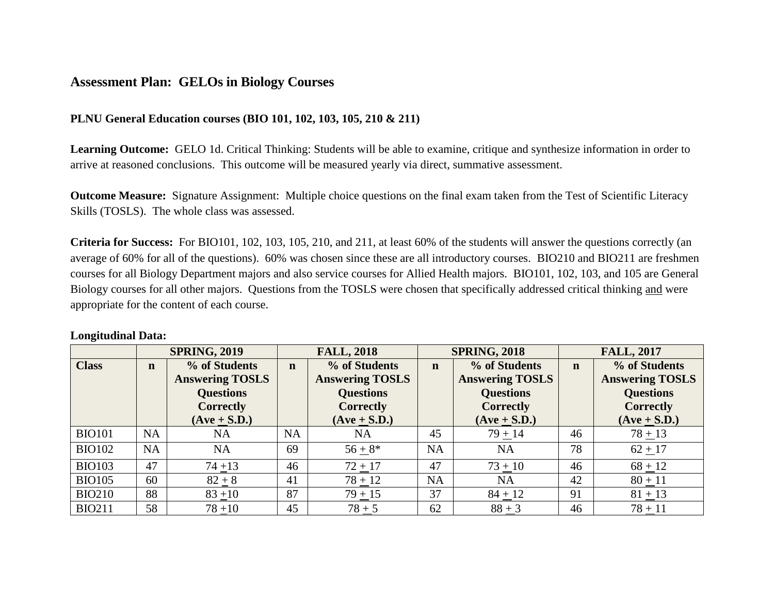## **Assessment Plan: GELOs in Biology Courses**

## **PLNU General Education courses (BIO 101, 102, 103, 105, 210 & 211)**

**Learning Outcome:**GELO 1d. Critical Thinking: Students will be able to examine, critique and synthesize information in order to arrive at reasoned conclusions. This outcome will be measured yearly via direct, summative assessment.

**Outcome Measure:** Signature Assignment: Multiple choice questions on the final exam taken from the Test of Scientific Literacy Skills (TOSLS). The whole class was assessed.

**Criteria for Success:** For BIO101, 102, 103, 105, 210, and 211, at least 60% of the students will answer the questions correctly (an average of 60% for all of the questions). 60% was chosen since these are all introductory courses. BIO210 and BIO211 are freshmen courses for all Biology Department majors and also service courses for Allied Health majors. BIO101, 102, 103, and 105 are General Biology courses for all other majors. Questions from the TOSLS were chosen that specifically addressed critical thinking and were appropriate for the content of each course.

## **Longitudinal Data:**

|               | <b>SPRING, 2019</b> |                                                                                 | <b>FALL, 2018</b> |                                                                                 | <b>SPRING, 2018</b> |                                                                                 | <b>FALL, 2017</b> |                                                                                 |
|---------------|---------------------|---------------------------------------------------------------------------------|-------------------|---------------------------------------------------------------------------------|---------------------|---------------------------------------------------------------------------------|-------------------|---------------------------------------------------------------------------------|
| <b>Class</b>  | $\mathbf n$         | % of Students<br><b>Answering TOSLS</b><br><b>Questions</b><br><b>Correctly</b> | $\mathbf n$       | % of Students<br><b>Answering TOSLS</b><br><b>Questions</b><br><b>Correctly</b> | $\mathbf n$         | % of Students<br><b>Answering TOSLS</b><br><b>Questions</b><br><b>Correctly</b> | $\mathbf n$       | % of Students<br><b>Answering TOSLS</b><br><b>Questions</b><br><b>Correctly</b> |
|               |                     | $(Ave + S.D.)$                                                                  |                   | $(Ave + S.D.)$                                                                  |                     | $(Ave + S.D.)$                                                                  |                   | $(Ave + S.D.)$                                                                  |
| <b>BIO101</b> | <b>NA</b>           | <b>NA</b>                                                                       | <b>NA</b>         | <b>NA</b>                                                                       | 45                  | $79 + 14$                                                                       | 46                | $78 + 13$                                                                       |
| <b>BIO102</b> | <b>NA</b>           | <b>NA</b>                                                                       | 69                | $56 + 8*$                                                                       | <b>NA</b>           | <b>NA</b>                                                                       | 78                | $62 + 17$                                                                       |
| <b>BIO103</b> | 47                  | $74 + 13$                                                                       | 46                | $72 + 17$                                                                       | 47                  | $73 + 10$                                                                       | 46                | $68 + 12$                                                                       |
| <b>BIO105</b> | 60                  | $82+8$                                                                          | 41                | $78 + 12$                                                                       | <b>NA</b>           | <b>NA</b>                                                                       | 42                | $80 + 11$                                                                       |
| <b>BIO210</b> | 88                  | $83 + 10$                                                                       | 87                | $79 + 15$                                                                       | 37                  | $84 + 12$                                                                       | 91                | $81 + 13$                                                                       |
| <b>BIO211</b> | 58                  | $78 + 10$                                                                       | 45                | $78 + 5$                                                                        | 62                  | $88 + 3$                                                                        | 46                | $78 + 11$                                                                       |